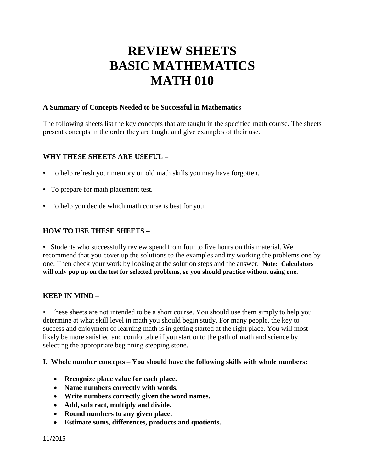# **REVIEW SHEETS BASIC MATHEMATICS MATH 010**

#### **A Summary of Concepts Needed to be Successful in Mathematics**

The following sheets list the key concepts that are taught in the specified math course. The sheets present concepts in the order they are taught and give examples of their use.

# **WHY THESE SHEETS ARE USEFUL –**

- To help refresh your memory on old math skills you may have forgotten.
- To prepare for math placement test.
- To help you decide which math course is best for you.

# **HOW TO USE THESE SHEETS –**

• Students who successfully review spend from four to five hours on this material. We recommend that you cover up the solutions to the examples and try working the problems one by one. Then check your work by looking at the solution steps and the answer. **Note: Calculators will only pop up on the test for selected problems, so you should practice without using one.**

#### **KEEP IN MIND –**

• These sheets are not intended to be a short course. You should use them simply to help you determine at what skill level in math you should begin study. For many people, the key to success and enjoyment of learning math is in getting started at the right place. You will most likely be more satisfied and comfortable if you start onto the path of math and science by selecting the appropriate beginning stepping stone.

#### **I. Whole number concepts – You should have the following skills with whole numbers:**

- **Recognize place value for each place.**
- **Name numbers correctly with words.**
- **Write numbers correctly given the word names.**
- **Add, subtract, multiply and divide.**
- **Round numbers to any given place.**
- **Estimate sums, differences, products and quotients.**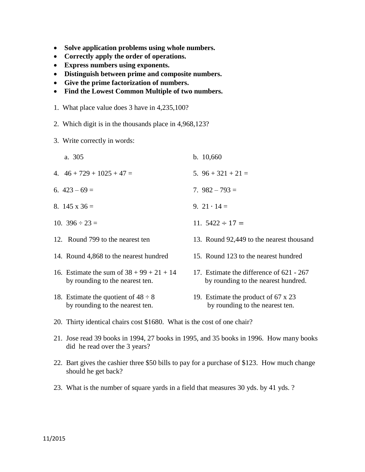- **Solve application problems using whole numbers.**
- **Correctly apply the order of operations.**
- **Express numbers using exponents.**
- **Distinguish between prime and composite numbers.**
- **Give the prime factorization of numbers.**
- **Find the Lowest Common Multiple of two numbers.**
- 1. What place value does 3 have in 4,235,100?
- 2. Which digit is in the thousands place in 4,968,123?
- 3. Write correctly in words:
	- a. 305 b. 10,660
- 4.  $46 + 729 + 1025 + 47 = 5.96 + 321 + 21 = 5$
- 6.  $423 69 = 793 = 7$
- 8.  $145 \times 36 = 9.21 \cdot 14 =$
- 10.  $396 \div 23 = 11.5422 \div 17 =$
- 12. Round 799 to the nearest ten 13. Round 92,449 to the nearest thousand
- 14. Round 4,868 to the nearest hundred 15. Round 123 to the nearest hundred
- 16. Estimate the sum of  $38 + 99 + 21 + 14$  17. Estimate the difference of 621 267
- 
- 
- 
- by rounding to the nearest ten. by rounding to the nearest hundred.
- 18. Estimate the quotient of  $48 \div 8$  19. Estimate the product of  $67 \times 23$ by rounding to the nearest ten. by rounding to the nearest ten.
- 20. Thirty identical chairs cost \$1680. What is the cost of one chair?
- 21. Jose read 39 books in 1994, 27 books in 1995, and 35 books in 1996. How many books did he read over the 3 years?
- 22. Bart gives the cashier three \$50 bills to pay for a purchase of \$123. How much change should he get back?
- 23. What is the number of square yards in a field that measures 30 yds. by 41 yds. ?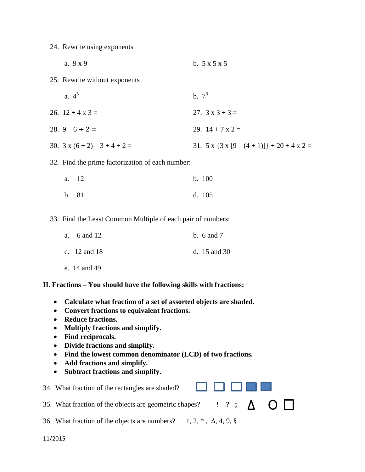24. Rewrite using exponents

- a.  $9 \times 9$  b.  $5 \times 5 \times 5$
- 25. Rewrite without exponents
- a.  $4^5$ b.  $7^3$ 26.  $12 \div 4 \times 3 =$  27.  $3 \times 3 \div 3 =$ 28.  $9-6 \div 2 =$  29.  $14 + 7 \times 2 =$ 30.  $3 \times (6 + 2) - 3 + 4 \div 2 =$ <br>31.  $5 \times \{3 \times [9 - (4 + 1)]\} + 20 \div 4 \times 2 =$
- 32. Find the prime factorization of each number:

| a. 12 | b. 100 |
|-------|--------|
| b. 81 | d. 105 |

33. Find the Least Common Multiple of each pair of numbers:

| a. $6$ and $12$  | b. $6$ and $7$   |
|------------------|------------------|
| c. $12$ and $18$ | d. $15$ and $30$ |
| e. 14 and 49     |                  |

**II. Fractions – You should have the following skills with fractions:**

- **Calculate what fraction of a set of assorted objects are shaded.**
- **Convert fractions to equivalent fractions.**
- **Reduce fractions.**
- **Multiply fractions and simplify.**
- **Find reciprocals.**
- **Divide fractions and simplify.**
- **Find the lowest common denominator (LCD) of two fractions.**
- **Add fractions and simplify.**
- **Subtract fractions and simplify.**

| .<br>34. What fraction of the rectangles are shaded?                                                 |  |  |  |
|------------------------------------------------------------------------------------------------------|--|--|--|
| 35. What fraction of the objects are geometric shapes? $\blacksquare$ ? ; $\Delta$ $\bigcirc$ $\Box$ |  |  |  |
| 36. What fraction of the objects are numbers? $1, 2, *$ , $\Delta$ , 4, 9, §                         |  |  |  |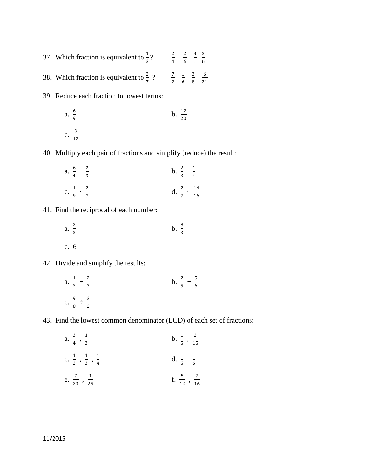- 37. Which fraction is equivalent to  $\frac{1}{3}$ ?  $\frac{2}{4}$  $\frac{2}{4}$   $\frac{2}{6}$  $\frac{2}{6}$   $\frac{3}{1}$  $\frac{3}{1}$   $\frac{3}{6}$ 6 38. Which fraction is equivalent to  $\frac{2}{7}$  ?  $\frac{7}{2}$   $\frac{1}{6}$  $\frac{1}{6}$   $\frac{3}{8}$  $\frac{3}{8}$   $\frac{6}{21}$
- 
- 39. Reduce each fraction to lowest terms:

a. 
$$
\frac{6}{9}
$$
 b.  $\frac{12}{20}$   
c.  $\frac{3}{12}$ 

40. Multiply each pair of fractions and simplify (reduce) the result:

 $\overline{\mathbf{c}}$ 

a. 
$$
\frac{6}{4} \cdot \frac{2}{3}
$$
  
b.  $\frac{2}{3} \cdot \frac{1}{4}$   
c.  $\frac{1}{9} \cdot \frac{2}{7}$   
d.  $\frac{2}{7} \cdot \frac{14}{16}$ 

41. Find the reciprocal of each number:

a. 
$$
\frac{2}{3}
$$
 b.  $\frac{8}{3}$   
c. 6

42. Divide and simplify the results:

a. 
$$
\frac{1}{3} \div \frac{2}{7}
$$
  
b.  $\frac{2}{5} \div \frac{5}{6}$   
c.  $\frac{9}{8} \div \frac{3}{2}$ 

43. Find the lowest common denominator (LCD) of each set of fractions:

a. 
$$
\frac{3}{4}
$$
,  $\frac{1}{3}$   
\nb.  $\frac{1}{5}$ ,  $\frac{2}{15}$   
\nc.  $\frac{1}{2}$ ,  $\frac{1}{3}$ ,  $\frac{1}{4}$   
\nd.  $\frac{1}{5}$ ,  $\frac{1}{6}$   
\ne.  $\frac{7}{20}$ ,  $\frac{1}{25}$   
\nf.  $\frac{5}{12}$ ,  $\frac{7}{16}$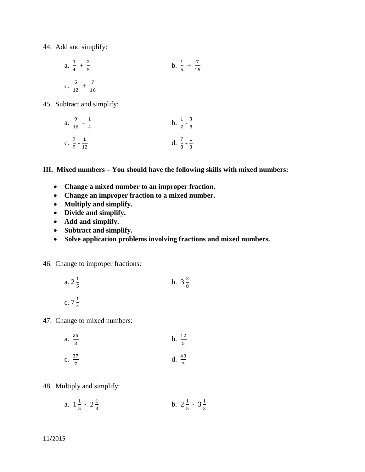44. Add and simplify:

a. 
$$
\frac{1}{4} + \frac{2}{5}
$$
  
b.  $\frac{1}{5} + \frac{7}{15}$   
c.  $\frac{5}{12} + \frac{7}{16}$ 

45. Subtract and simplify:

| a. | $\frac{9}{16} - \frac{1}{4}$                   | b. $\frac{1}{2} - \frac{3}{8}$ |  |
|----|------------------------------------------------|--------------------------------|--|
|    | $7 \quad 1$<br>C. $\frac{1}{9} - \frac{1}{12}$ | d. $\frac{7}{8} - \frac{1}{3}$ |  |

**III. Mixed numbers – You should have the following skills with mixed numbers:**

- **Change a mixed number to an improper fraction.**
- **Change an improper fraction to a mixed number.**
- **Multiply and simplify.**
- **Divide and simplify.**
- **Add and simplify.**
- **Subtract and simplify.**
- **Solve application problems involving fractions and mixed numbers.**

# 46. Change to improper fractions:

a. 
$$
2\frac{1}{5}
$$
 b.  $3\frac{3}{8}$   
c.  $7\frac{1}{4}$ 

47. Change to mixed numbers:

a. 
$$
\frac{25}{3}
$$
 b.  $\frac{12}{5}$ 

c. 
$$
\frac{37}{7}
$$
 d.  $\frac{49}{3}$ 

48. Multiply and simplify:

a. 
$$
1\frac{1}{5} \cdot 2\frac{1}{3}
$$
 b.  $2\frac{1}{5} \cdot 3\frac{1}{3}$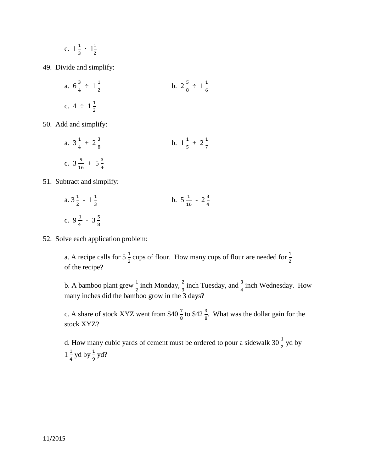c. 
$$
1\frac{1}{3} \cdot 1\frac{1}{2}
$$

49. Divide and simplify:

a. 
$$
6\frac{3}{4} \div 1\frac{1}{2}
$$
  
b.  $2\frac{5}{8} \div 1\frac{1}{6}$   
c.  $4 \div 1\frac{1}{2}$ 

50. Add and simplify:

a. 
$$
3\frac{1}{4} + 2\frac{3}{8}
$$
  
b.  $1\frac{1}{5} + 2\frac{1}{7}$   
c.  $3\frac{9}{16} + 5\frac{3}{4}$ 

51. Subtract and simplify:

a. 
$$
3\frac{1}{2} - 1\frac{1}{3}
$$
  
b.  $5\frac{1}{16} - 2\frac{3}{4}$   
c.  $9\frac{1}{4} - 3\frac{5}{8}$ 

52. Solve each application problem:

a. A recipe calls for  $5\frac{1}{2}$  cups of flour. How many cups of flour are needed for  $\frac{1}{2}$ of the recipe?

b. A bamboo plant grew  $\frac{1}{2}$  inch Monday,  $\frac{2}{3}$  inch Tuesday, and  $\frac{3}{4}$  inch Wednesday. How many inches did the bamboo grow in the 3 days?

c. A share of stock XYZ went from \$40  $\frac{2}{8}$  to \$42  $\frac{3}{8}$ . What was the dollar gain for the stock XYZ?

d. How many cubic yards of cement must be ordered to pour a sidewalk  $30\frac{1}{2}$  yd by  $1\frac{1}{4}$  yd by  $\frac{1}{9}$  yd?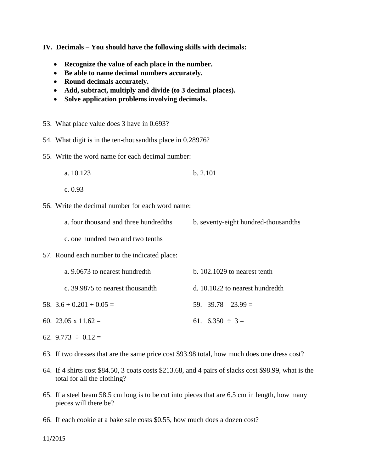**IV. Decimals – You should have the following skills with decimals:**

- **Recognize the value of each place in the number.**
- **Be able to name decimal numbers accurately.**
- **Round decimals accurately.**
- **Add, subtract, multiply and divide (to 3 decimal places).**
- **Solve application problems involving decimals.**
- 53. What place value does 3 have in 0.693?
- 54. What digit is in the ten-thousandths place in 0.28976?
- 55. Write the word name for each decimal number:
	- a. 10.123 b. 2.101
	- c. 0.93
- 56. Write the decimal number for each word name:
	- a. four thousand and three hundredths b. seventy-eight hundred-thousandths
	- c. one hundred two and two tenths
- 57. Round each number to the indicated place:
- a. 9.0673 to nearest hundredth b. 102.1029 to nearest tenth c. 39.9875 to nearest thousandth d. 10.1022 to nearest hundredth 58.  $3.6 + 0.201 + 0.05 =$  59.  $39.78 - 23.99 =$ 60. 23.05 x 11.62 = 61. 6.350  $\div$  3 =
- 62.  $9.773 \div 0.12 =$
- 63. If two dresses that are the same price cost \$93.98 total, how much does one dress cost?
- 64. If 4 shirts cost \$84.50, 3 coats costs \$213.68, and 4 pairs of slacks cost \$98.99, what is the total for all the clothing?
- 65. If a steel beam 58.5 cm long is to be cut into pieces that are 6.5 cm in length, how many pieces will there be?
- 66. If each cookie at a bake sale costs \$0.55, how much does a dozen cost?

11/2015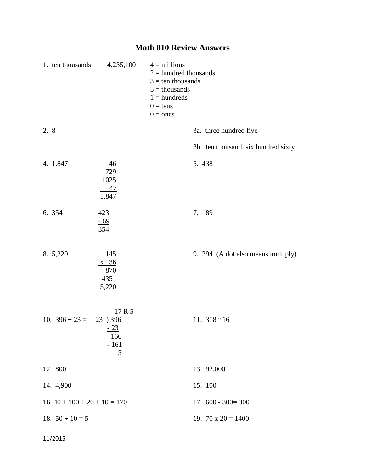# **Math 010 Review Answers**

|      | 1. ten thousands              | 4,235,100                                                    | $4 =$ millions<br>$2 =$ hundred thousands<br>$3 = \text{ten}$ thousands<br>$5 =$ thousands<br>$1 =$ hundreds<br>$0 = tens$<br>$0 = ones$ |
|------|-------------------------------|--------------------------------------------------------------|------------------------------------------------------------------------------------------------------------------------------------------|
| 2. 8 |                               |                                                              | 3a. three hundred five                                                                                                                   |
|      |                               |                                                              | 3b. ten thousand, six hundred sixty                                                                                                      |
|      | 4. 1,847                      | 46<br>729<br>1025<br>$+$ 47<br>1,847                         | 5.438                                                                                                                                    |
|      | 6. 354                        | 423<br><u>- 69</u><br>354                                    | 7.189                                                                                                                                    |
|      | 8. 5,220                      | 145<br>$\frac{\text{x}}{36}$<br>870<br>435<br>5,220          | 9. 294 (A dot also means multiply)                                                                                                       |
|      | 10. $396 \div 23 =$           | 17 R 5<br>$23\overline{)396}$<br>$-23$<br>166<br>$-161$<br>5 | 11. 318 r 16                                                                                                                             |
|      | 12. 800                       |                                                              | 13. 92,000                                                                                                                               |
|      | 14. 4,900                     |                                                              | 15. 100                                                                                                                                  |
|      | $16.40 + 100 + 20 + 10 = 170$ |                                                              | $17.600 - 300 = 300$                                                                                                                     |
|      | 18. $50 \div 10 = 5$          |                                                              | 19. $70 \times 20 = 1400$                                                                                                                |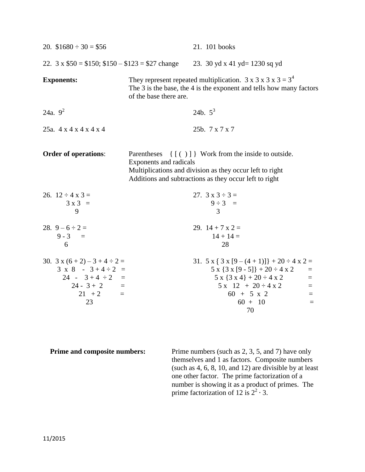| 20. $$1680 \div 30 = $56$                                                                                                           |                                       | 21. 101 books                                                                                                                                                                                                                                 |
|-------------------------------------------------------------------------------------------------------------------------------------|---------------------------------------|-----------------------------------------------------------------------------------------------------------------------------------------------------------------------------------------------------------------------------------------------|
| 22. $3 \times $50 = $150$ ; $$150 - $123 = $27$ change                                                                              |                                       | 23. 30 yd x 41 yd = 1230 sq yd                                                                                                                                                                                                                |
| <b>Exponents:</b>                                                                                                                   | of the base there are.                | They represent repeated multiplication. $3 \times 3 \times 3 \times 3 = 3^4$<br>The 3 is the base, the 4 is the exponent and tells how many factors                                                                                           |
| 24a. $9^2$                                                                                                                          |                                       | 24b. $5^3$                                                                                                                                                                                                                                    |
| 25a. 4 x 4 x 4 x 4 x 4                                                                                                              |                                       | 25b. 7 x 7 x 7                                                                                                                                                                                                                                |
| <b>Order of operations:</b>                                                                                                         | Parentheses<br>Exponents and radicals | { [()] } Work from the inside to outside.<br>Multiplications and division as they occur left to right<br>Additions and subtractions as they occur left to right                                                                               |
| 26. $12 \div 4 \times 3 =$<br>$3x3 =$<br>9                                                                                          |                                       | 27. $3 \times 3 \div 3 =$<br>$9 \div 3 =$<br>3                                                                                                                                                                                                |
| 28. $9-6 \div 2=$<br>$9 - 3 =$<br>6                                                                                                 |                                       | 29. $14 + 7x2 =$<br>$14 + 14 =$<br>28                                                                                                                                                                                                         |
| 30. $3x(6+2)-3+4 \div 2=$<br>$3 \times 8 - 3 + 4 \div 2 =$<br>$24 - 3 + 4 \div 2 =$<br>$24 - 3 + 2 =$<br>$21 + 2$<br>$\equiv$<br>23 |                                       | 31. $5 \times \{ 3 \times [9 - (4 + 1)] \} + 20 \div 4 \times 2 =$<br>$5 x {3 x [9 - 5]} + 20 \div 4 x 2$<br>$=$<br>$5 x {3 x 4} + 20 \div 4 x 2$<br>$\equiv$<br>$5x$ 12 + 20 ÷ 4 x 2<br>$=$<br>$60 + 5 x 2$<br>$=$<br>$60 + 10$<br>$=$<br>70 |

**Prime and composite numbers:** Prime numbers (such as 2, 3, 5, and 7) have only themselves and 1 as factors. Composite numbers (such as 4, 6, 8, 10, and 12) are divisible by at least one other factor. The prime factorization of a number is showing it as a product of primes. The prime factorization of 12 is  $2^2 \cdot 3$ .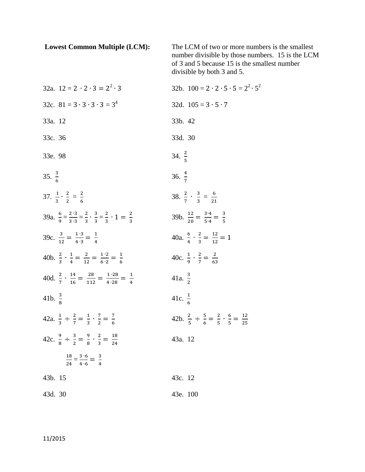| <b>Lowest Common Multiple (LCM):</b>                                                                                 | The LCM of two or more numbers is the smallest<br>number divisible by those numbers. 15 is the LCM<br>of 3 and 5 because 15 is the smallest number<br>divisible by both 3 and 5. |
|----------------------------------------------------------------------------------------------------------------------|----------------------------------------------------------------------------------------------------------------------------------------------------------------------------------|
| 32a. $12 = 2 \cdot 2 \cdot 3 = 2^2 \cdot 3$                                                                          | 32b. $100 = 2 \cdot 2 \cdot 5 \cdot 5 = 2^2 \cdot 5^2$                                                                                                                           |
| 32c. $81 = 3 \cdot 3 \cdot 3 \cdot 3 = 3^4$                                                                          | 32d. $105 = 3 \cdot 5 \cdot 7$                                                                                                                                                   |
| 33a. 12                                                                                                              | 33b. 42                                                                                                                                                                          |
| 33c. 36                                                                                                              | 33d. 30                                                                                                                                                                          |
| 33e. 98                                                                                                              | 34. $\frac{2}{5}$                                                                                                                                                                |
| 35. $\frac{3}{6}$                                                                                                    | 36. $\frac{4}{7}$                                                                                                                                                                |
| 37. $\frac{1}{3} \cdot \frac{2}{2} = \frac{2}{4}$                                                                    | 38. $\frac{2}{7} \cdot \frac{3}{2} = \frac{6}{31}$                                                                                                                               |
| 39a. $\frac{6}{9} = \frac{2 \cdot 3}{3 \cdot 2} = \frac{2}{3} \cdot \frac{3}{2} = \frac{2}{3} \cdot 1 = \frac{2}{3}$ | 39b. $\frac{12}{20} = \frac{3.4}{5.4} = \frac{3}{5}$                                                                                                                             |
| 39c. $\frac{3}{12} = \frac{1 \cdot 3}{4 \cdot 3} = \frac{1}{4}$                                                      | 40a. $\frac{6}{4} \cdot \frac{2}{3} = \frac{12}{12} = 1$                                                                                                                         |
| 40b. $\frac{2}{3} \cdot \frac{1}{4} = \frac{2}{12} = \frac{1 \cdot 2}{6 \cdot 2} = \frac{1}{6}$                      | 40c. $\frac{1}{9} \cdot \frac{2}{7} = \frac{2}{63}$                                                                                                                              |
| 40d. $\frac{2}{7} \cdot \frac{14}{16} = \frac{28}{112} = \frac{1 \cdot 28}{4 \cdot 28} = \frac{1}{4}$                | 41a. $\frac{3}{2}$                                                                                                                                                               |
| 41b. $\frac{3}{8}$                                                                                                   | 41c. $\frac{1}{6}$                                                                                                                                                               |
| 42a. $\frac{1}{3} \div \frac{2}{7} = \frac{1}{3} \cdot \frac{7}{2} = \frac{7}{6}$                                    | 42b. $\frac{2}{5} \div \frac{5}{6} = \frac{2}{5} \cdot \frac{6}{5} = \frac{12}{25}$                                                                                              |
| 42c. $\frac{9}{8} \div \frac{3}{2} = \frac{9}{8} \cdot \frac{2}{3} = \frac{18}{24}$                                  | 43a. 12                                                                                                                                                                          |
| $\frac{18}{24} = \frac{3 \cdot 6}{4 \cdot 6} = \frac{3}{4}$                                                          |                                                                                                                                                                                  |
| 43b. 15                                                                                                              | 43c. 12                                                                                                                                                                          |
| 43d. 30                                                                                                              | 43e. 100                                                                                                                                                                         |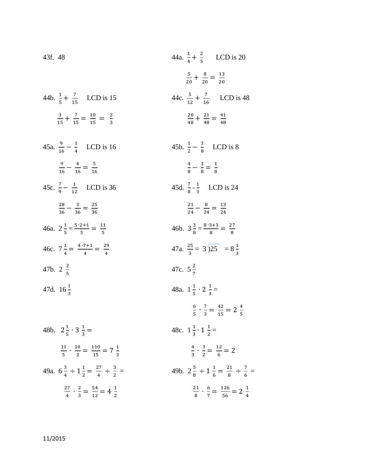43f. 48  
\n44a. 
$$
\frac{1}{4} + \frac{2}{5}
$$
 LCD is 20  
\n $\frac{5}{20} + \frac{8}{20} = \frac{13}{20}$   
\n44b.  $\frac{1}{5} + \frac{7}{15}$  LCD is 15  
\n $\frac{3}{15} + \frac{7}{15} = \frac{10}{15} = \frac{2}{3}$   
\n45a.  $\frac{9}{16} - \frac{1}{4}$  LCD is 16  
\n $\frac{9}{16} - \frac{4}{16} = \frac{5}{16}$   
\n45b.  $\frac{1}{2} - \frac{3}{8}$  LCD is 8  
\n $\frac{20}{48} + \frac{21}{48} = \frac{41}{48}$   
\n45c.  $\frac{7}{9} - \frac{1}{12}$  LCD is 36  
\n $\frac{28}{36} - \frac{3}{36} = \frac{25}{36}$   
\n46a.  $2\frac{1}{5} = \frac{5 \cdot 2 \cdot 1}{5} = \frac{11}{5}$   
\n46c.  $7\frac{1}{4} = \frac{4 \cdot 7 \cdot 1}{4} = \frac{29}{4}$   
\n46d.  $2\frac{1}{5} = \frac{5 \cdot 2 \cdot 1}{5} = \frac{11}{5}$   
\n46e.  $7\frac{1}{4} = \frac{4 \cdot 7 \cdot 1}{4} = \frac{29}{4}$   
\n47a.  $\frac{35}{3} = 3 \overline{)25} = 8\frac{1}{3}$   
\n47b.  $2\frac{2}{5}$   
\n47d.  $16\frac{1}{3}$   
\n48a.  $1\frac{1}{5} \cdot 2\frac{1}{3} =$   
\n $\frac{6}{5} \cdot \frac{7}{3} = \frac{42}{15} = 2\frac{4}{5}$   
\n48b.  $2\frac{1}{5} \cdot 3\frac{1}{3} =$   
\n $\frac{11}{5} \cdot \frac{10}{3} = \frac{110}{15} = 7\frac{1}{3}$   
\n49

2  $rac{21}{8} \cdot \frac{6}{7}$ 

 $\frac{6}{7} = \frac{1}{9}$ 

 $\frac{126}{56} = 2\frac{1}{4}$ 

4

2  $\frac{27}{4} \cdot \frac{2}{3}$ 

 $\frac{2}{3} = \frac{5}{1}$ 

 $\frac{54}{12} = 4\frac{1}{2}$  $\overline{c}$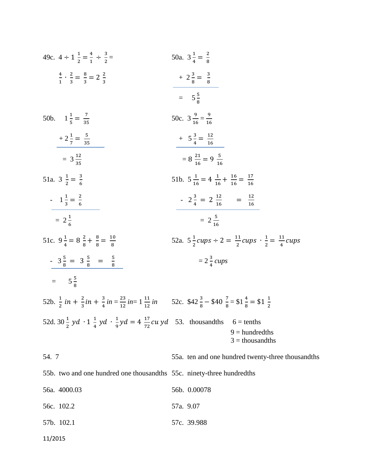| 49c. $4 \div 1\frac{1}{2} = \frac{4}{1} \div \frac{3}{2} =$                                                                                                                                 | 50a. $3\frac{1}{4} = \frac{2}{8}$                                                      |
|---------------------------------------------------------------------------------------------------------------------------------------------------------------------------------------------|----------------------------------------------------------------------------------------|
| $\frac{4}{1} \cdot \frac{2}{3} = \frac{8}{3} = 2\frac{2}{3}$                                                                                                                                | $+2\frac{3}{8} = \frac{3}{8}$                                                          |
|                                                                                                                                                                                             | $= 5\frac{5}{8}$                                                                       |
| 50b. $1\frac{1}{5} = \frac{7}{35}$                                                                                                                                                          | 50c. $3\frac{9}{16} = \frac{9}{16}$                                                    |
| $+2\frac{1}{7}=\frac{5}{35}$                                                                                                                                                                | $+$ 5 $\frac{3}{4} = \frac{12}{16}$                                                    |
| $=$ 3 $\frac{12}{35}$                                                                                                                                                                       | $= 8 \frac{21}{16} = 9 \frac{5}{16}$                                                   |
| 51a. $3\frac{1}{2} = \frac{3}{6}$                                                                                                                                                           | 51b. $5\frac{1}{16} = 4\frac{1}{16} + \frac{16}{16} = \frac{17}{16}$                   |
| $1\frac{1}{3} = \frac{2}{6}$                                                                                                                                                                | $-2\frac{3}{4} = 2\frac{12}{16} = \frac{12}{16}$                                       |
| $= 2\frac{1}{6}$                                                                                                                                                                            | $= 2\frac{5}{16}$                                                                      |
| 51c. $9\frac{1}{4} = 8\frac{2}{8} + \frac{8}{8} = \frac{10}{8}$                                                                                                                             | 52a. $5\frac{1}{2}cups \div 2 = \frac{11}{2}cups \cdot \frac{1}{2} = \frac{11}{4}cups$ |
| $-3\frac{5}{8} = 3\frac{5}{8} = \frac{5}{8}$                                                                                                                                                | $=2\frac{3}{4} \text{ cups}$                                                           |
| $= 5\frac{5}{8}$                                                                                                                                                                            |                                                                                        |
| 52b. $\frac{1}{2}$ in + $\frac{2}{3}$ in + $\frac{3}{4}$ in = $\frac{23}{12}$ in = $1\frac{11}{12}$ in 52c. \$42 $\frac{3}{8}$ - \$40 $\frac{7}{8}$ = \$1 $\frac{4}{8}$ = \$1 $\frac{1}{2}$ |                                                                                        |
| 52d. 30 $\frac{1}{2}$ yd $\cdot$ 1 $\frac{1}{4}$ yd $\cdot$ $\frac{1}{9}$ yd = 4 $\frac{17}{72}$ cu yd 53. thousandths 6 = tenths                                                           | $9 =$ hundredths<br>$3 =$ thousandths                                                  |
| 54. 7                                                                                                                                                                                       | 55a. ten and one hundred twenty-three thousandths                                      |
| 55b. two and one hundred one thousandths 55c. ninety-three hundredths                                                                                                                       |                                                                                        |
| 56a. 4000.03                                                                                                                                                                                | 56b. 0.00078                                                                           |
| 56c. 102.2                                                                                                                                                                                  | 57a. 9.07                                                                              |
| 57b. 102.1                                                                                                                                                                                  | 57c. 39.988                                                                            |

11/2015